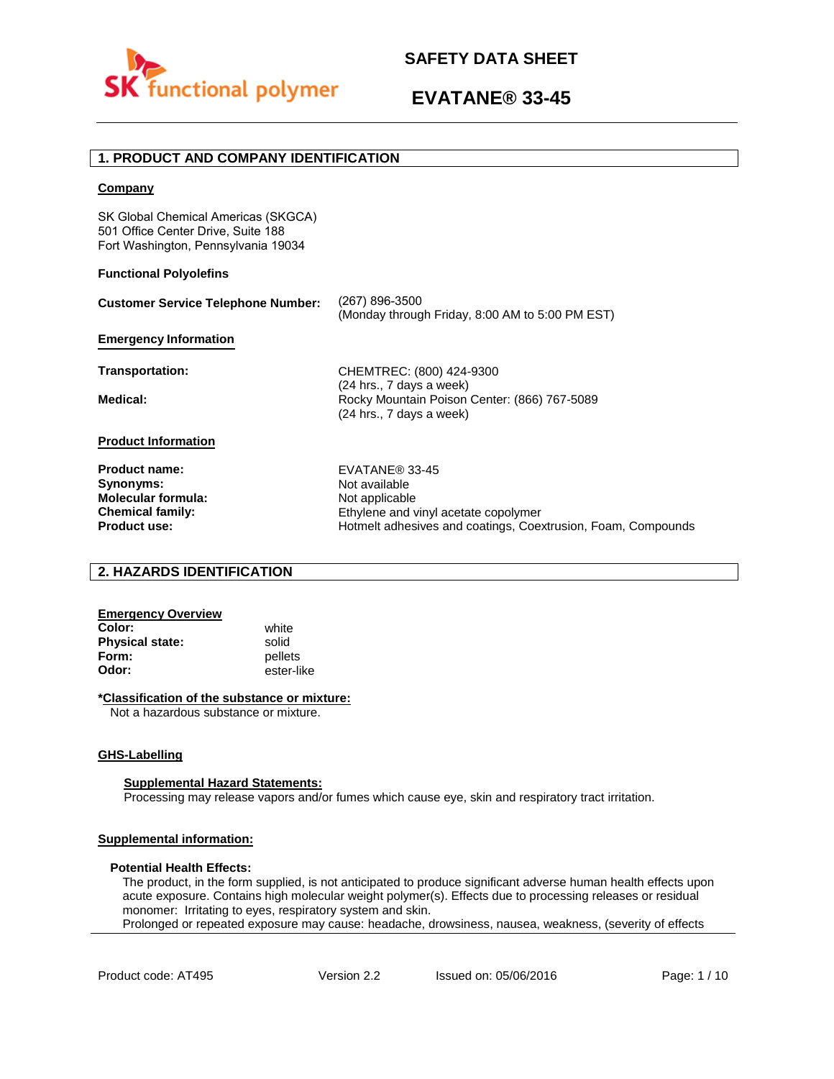

# **1. PRODUCT AND COMPANY IDENTIFICATION**

### **Company**

SK Global Chemical Americas (SKGCA) 501 Office Center Drive, Suite 188 Fort Washington, Pennsylvania 19034

### **Functional Polyolefins**

| <b>Customer Service Telephone Number:</b> | (267) 896-3500<br>(Monday through Friday, 8:00 AM to 5:00 PM EST)                                      |
|-------------------------------------------|--------------------------------------------------------------------------------------------------------|
| <b>Emergency Information</b>              |                                                                                                        |
| Transportation:                           | CHEMTREC: (800) 424-9300                                                                               |
| Medical:                                  | $(24$ hrs., 7 days a week)<br>Rocky Mountain Poison Center: (866) 767-5089<br>(24 hrs., 7 days a week) |
| <b>Product Information</b>                |                                                                                                        |
| <b>Product name:</b>                      | EVATANE® 33-45                                                                                         |
| Synonyms:                                 | Not available                                                                                          |
| <b>Molecular formula:</b>                 | Not applicable                                                                                         |
| <b>Chemical family:</b>                   | Ethylene and vinyl acetate copolymer                                                                   |
| <b>Product use:</b>                       | Hotmelt adhesives and coatings, Coextrusion, Foam, Compounds                                           |

### **2. HAZARDS IDENTIFICATION**

# **Emergency Overview**

**Color:** white **Physical state:** solid<br> **Form:** nellet **Form:** pellets<br> **Odor:** ester-li

**Odor:** ester-like

### **\*Classification of the substance or mixture:**

Not a hazardous substance or mixture.

### **GHS-Labelling**

### **Supplemental Hazard Statements:**

Processing may release vapors and/or fumes which cause eye, skin and respiratory tract irritation.

### **Supplemental information:**

### **Potential Health Effects:**

The product, in the form supplied, is not anticipated to produce significant adverse human health effects upon acute exposure. Contains high molecular weight polymer(s). Effects due to processing releases or residual monomer: Irritating to eyes, respiratory system and skin. Prolonged or repeated exposure may cause: headache, drowsiness, nausea, weakness, (severity of effects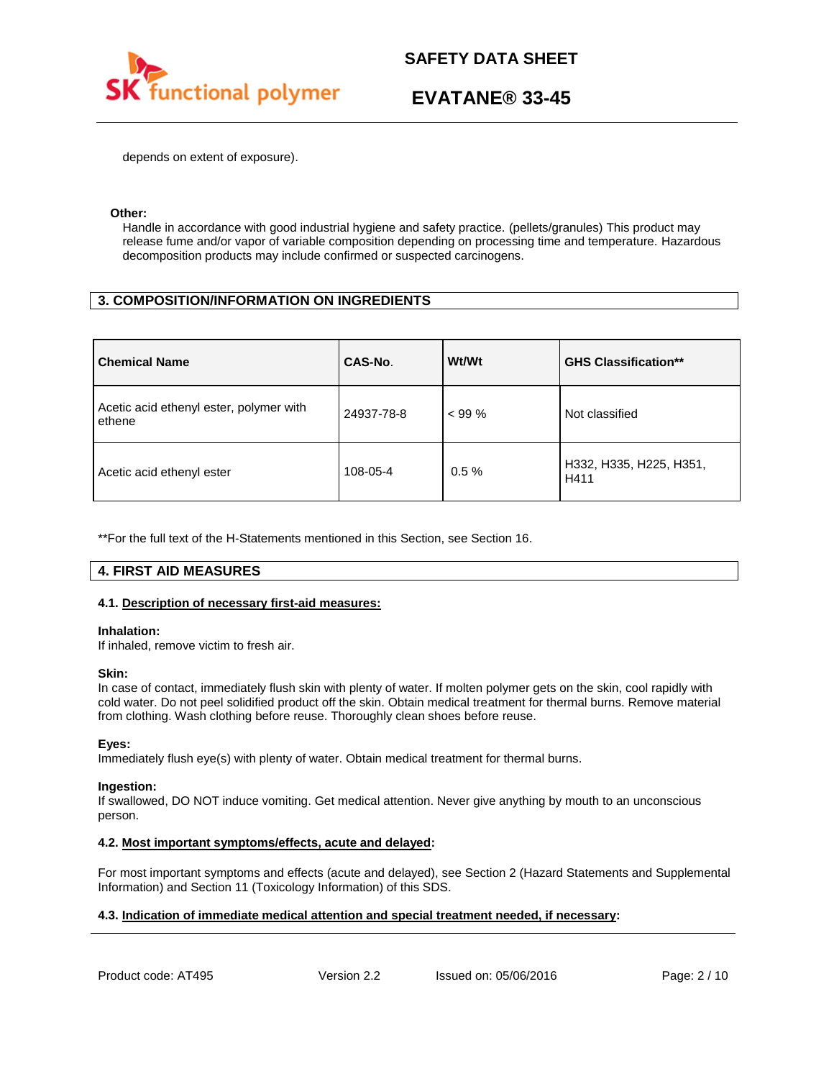

depends on extent of exposure).

### **Other:**

Handle in accordance with good industrial hygiene and safety practice. (pellets/granules) This product may release fume and/or vapor of variable composition depending on processing time and temperature. Hazardous decomposition products may include confirmed or suspected carcinogens.

# **3. COMPOSITION/INFORMATION ON INGREDIENTS**

| <b>Chemical Name</b>                              | CAS-No.    | Wt/Wt    | <b>GHS Classification**</b>     |
|---------------------------------------------------|------------|----------|---------------------------------|
| Acetic acid ethenyl ester, polymer with<br>ethene | 24937-78-8 | $< 99\%$ | Not classified                  |
| Acetic acid ethenyl ester                         | 108-05-4   | $0.5 \%$ | H332, H335, H225, H351,<br>H411 |

\*\*For the full text of the H-Statements mentioned in this Section, see Section 16.

# **4. FIRST AID MEASURES**

### **4.1. Description of necessary first-aid measures:**

### **Inhalation:**

If inhaled, remove victim to fresh air.

### **Skin:**

In case of contact, immediately flush skin with plenty of water. If molten polymer gets on the skin, cool rapidly with cold water. Do not peel solidified product off the skin. Obtain medical treatment for thermal burns. Remove material from clothing. Wash clothing before reuse. Thoroughly clean shoes before reuse.

### **Eyes:**

Immediately flush eye(s) with plenty of water. Obtain medical treatment for thermal burns.

### **Ingestion:**

If swallowed, DO NOT induce vomiting. Get medical attention. Never give anything by mouth to an unconscious person.

### **4.2. Most important symptoms/effects, acute and delayed:**

For most important symptoms and effects (acute and delayed), see Section 2 (Hazard Statements and Supplemental Information) and Section 11 (Toxicology Information) of this SDS.

### **4.3. Indication of immediate medical attention and special treatment needed, if necessary:**

Product code: AT495 Version 2.2 Issued on: 05/06/2016 Page: 2/10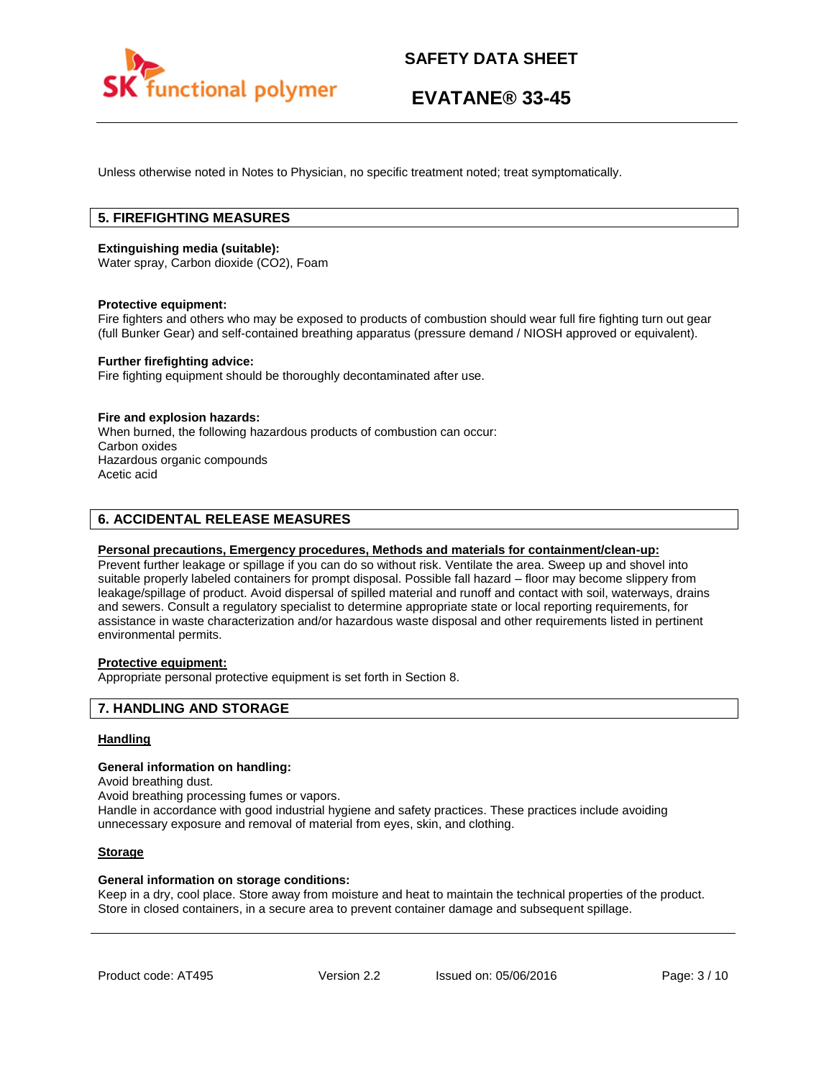

Unless otherwise noted in Notes to Physician, no specific treatment noted; treat symptomatically.

# **5. FIREFIGHTING MEASURES**

### **Extinguishing media (suitable):**

Water spray, Carbon dioxide (CO2), Foam

#### **Protective equipment:**

Fire fighters and others who may be exposed to products of combustion should wear full fire fighting turn out gear (full Bunker Gear) and self-contained breathing apparatus (pressure demand / NIOSH approved or equivalent).

### **Further firefighting advice:**

Fire fighting equipment should be thoroughly decontaminated after use.

#### **Fire and explosion hazards:**

When burned, the following hazardous products of combustion can occur: Carbon oxides Hazardous organic compounds Acetic acid

### **6. ACCIDENTAL RELEASE MEASURES**

### **Personal precautions, Emergency procedures, Methods and materials for containment/clean-up:**

Prevent further leakage or spillage if you can do so without risk. Ventilate the area. Sweep up and shovel into suitable properly labeled containers for prompt disposal. Possible fall hazard – floor may become slippery from leakage/spillage of product. Avoid dispersal of spilled material and runoff and contact with soil, waterways, drains and sewers. Consult a regulatory specialist to determine appropriate state or local reporting requirements, for assistance in waste characterization and/or hazardous waste disposal and other requirements listed in pertinent environmental permits.

## **Protective equipment:**

Appropriate personal protective equipment is set forth in Section 8.

### **7. HANDLING AND STORAGE**

### **Handling**

#### **General information on handling:**

Avoid breathing dust.

Avoid breathing processing fumes or vapors.

Handle in accordance with good industrial hygiene and safety practices. These practices include avoiding unnecessary exposure and removal of material from eyes, skin, and clothing.

### **Storage**

### **General information on storage conditions:**

Keep in a dry, cool place. Store away from moisture and heat to maintain the technical properties of the product. Store in closed containers, in a secure area to prevent container damage and subsequent spillage.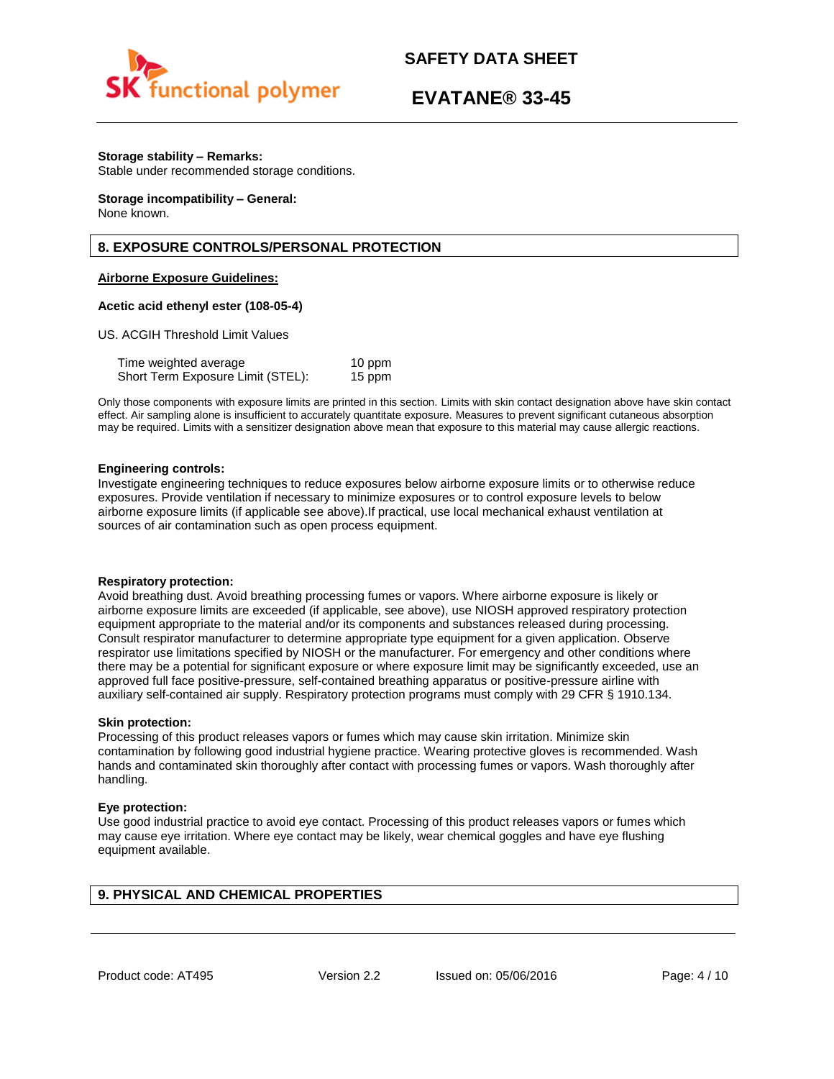

# **EVATANE® 33-45**

### **Storage stability – Remarks:**

Stable under recommended storage conditions.

#### **Storage incompatibility – General:**  None known.

# **8. EXPOSURE CONTROLS/PERSONAL PROTECTION**

### **Airborne Exposure Guidelines:**

### **Acetic acid ethenyl ester (108-05-4)**

US. ACGIH Threshold Limit Values

| Time weighted average             | 10 ppm |
|-----------------------------------|--------|
| Short Term Exposure Limit (STEL): | 15 ppm |

Only those components with exposure limits are printed in this section. Limits with skin contact designation above have skin contact effect. Air sampling alone is insufficient to accurately quantitate exposure. Measures to prevent significant cutaneous absorption may be required. Limits with a sensitizer designation above mean that exposure to this material may cause allergic reactions.

### **Engineering controls:**

Investigate engineering techniques to reduce exposures below airborne exposure limits or to otherwise reduce exposures. Provide ventilation if necessary to minimize exposures or to control exposure levels to below airborne exposure limits (if applicable see above).If practical, use local mechanical exhaust ventilation at sources of air contamination such as open process equipment.

### **Respiratory protection:**

Avoid breathing dust. Avoid breathing processing fumes or vapors. Where airborne exposure is likely or airborne exposure limits are exceeded (if applicable, see above), use NIOSH approved respiratory protection equipment appropriate to the material and/or its components and substances released during processing. Consult respirator manufacturer to determine appropriate type equipment for a given application. Observe respirator use limitations specified by NIOSH or the manufacturer. For emergency and other conditions where there may be a potential for significant exposure or where exposure limit may be significantly exceeded, use an approved full face positive-pressure, self-contained breathing apparatus or positive-pressure airline with auxiliary self-contained air supply. Respiratory protection programs must comply with 29 CFR § 1910.134.

### **Skin protection:**

Processing of this product releases vapors or fumes which may cause skin irritation. Minimize skin contamination by following good industrial hygiene practice. Wearing protective gloves is recommended. Wash hands and contaminated skin thoroughly after contact with processing fumes or vapors. Wash thoroughly after handling.

### **Eye protection:**

Use good industrial practice to avoid eye contact. Processing of this product releases vapors or fumes which may cause eye irritation. Where eye contact may be likely, wear chemical goggles and have eye flushing equipment available.

# **9. PHYSICAL AND CHEMICAL PROPERTIES**

Product code: AT495 Version 2.2 Issued on: 05/06/2016 Page: 4/10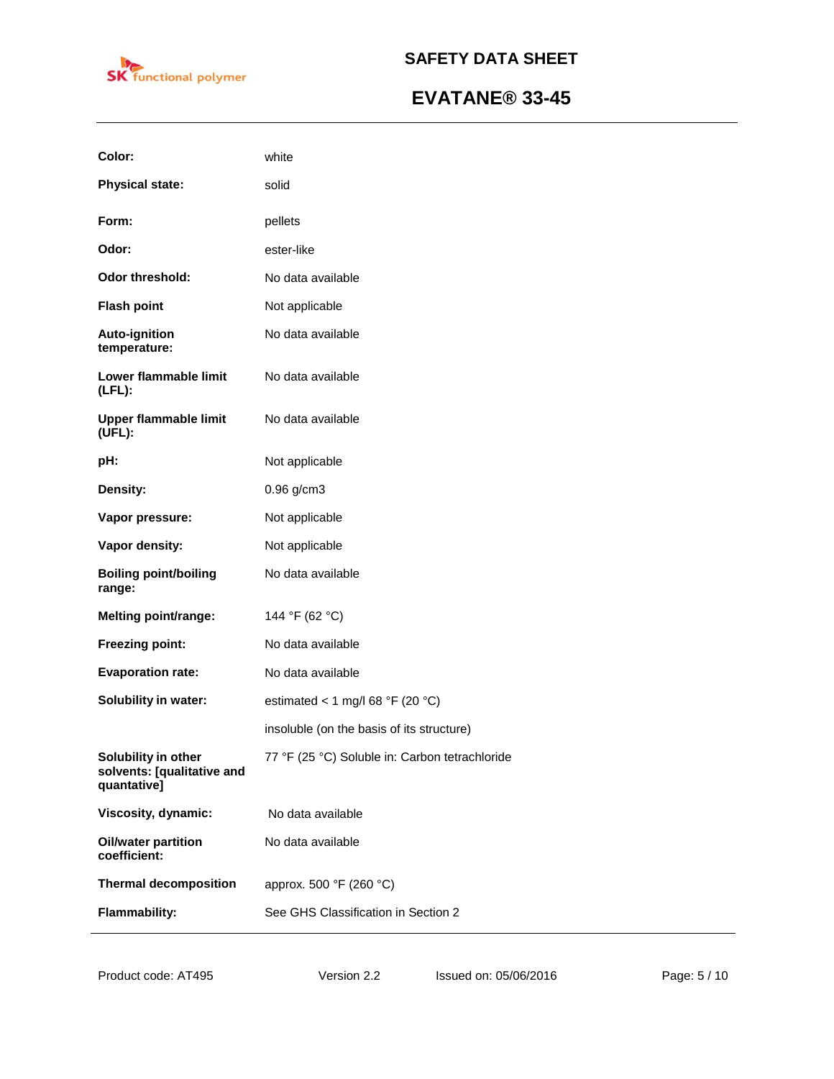

| Color:                                                           | white                                          |
|------------------------------------------------------------------|------------------------------------------------|
| <b>Physical state:</b>                                           | solid                                          |
| Form:                                                            | pellets                                        |
| Odor:                                                            | ester-like                                     |
| Odor threshold:                                                  | No data available                              |
| <b>Flash point</b>                                               | Not applicable                                 |
| Auto-ignition<br>temperature:                                    | No data available                              |
| Lower flammable limit<br>$(LFL)$ :                               | No data available                              |
| <b>Upper flammable limit</b><br>(UEL):                           | No data available                              |
| pH:                                                              | Not applicable                                 |
| Density:                                                         | $0.96$ g/cm3                                   |
| Vapor pressure:                                                  | Not applicable                                 |
| Vapor density:                                                   | Not applicable                                 |
| <b>Boiling point/boiling</b><br>range:                           | No data available                              |
| <b>Melting point/range:</b>                                      | 144 °F (62 °C)                                 |
| Freezing point:                                                  | No data available                              |
| <b>Evaporation rate:</b>                                         | No data available                              |
| Solubility in water:                                             | estimated < 1 mg/l 68 °F (20 °C)               |
|                                                                  | insoluble (on the basis of its structure)      |
| Solubility in other<br>solvents: [qualitative and<br>quantative] | 77 °F (25 °C) Soluble in: Carbon tetrachloride |
| Viscosity, dynamic:                                              | No data available                              |
| <b>Oil/water partition</b><br>coefficient:                       | No data available                              |
| <b>Thermal decomposition</b>                                     | approx. 500 °F (260 °C)                        |
| <b>Flammability:</b>                                             | See GHS Classification in Section 2            |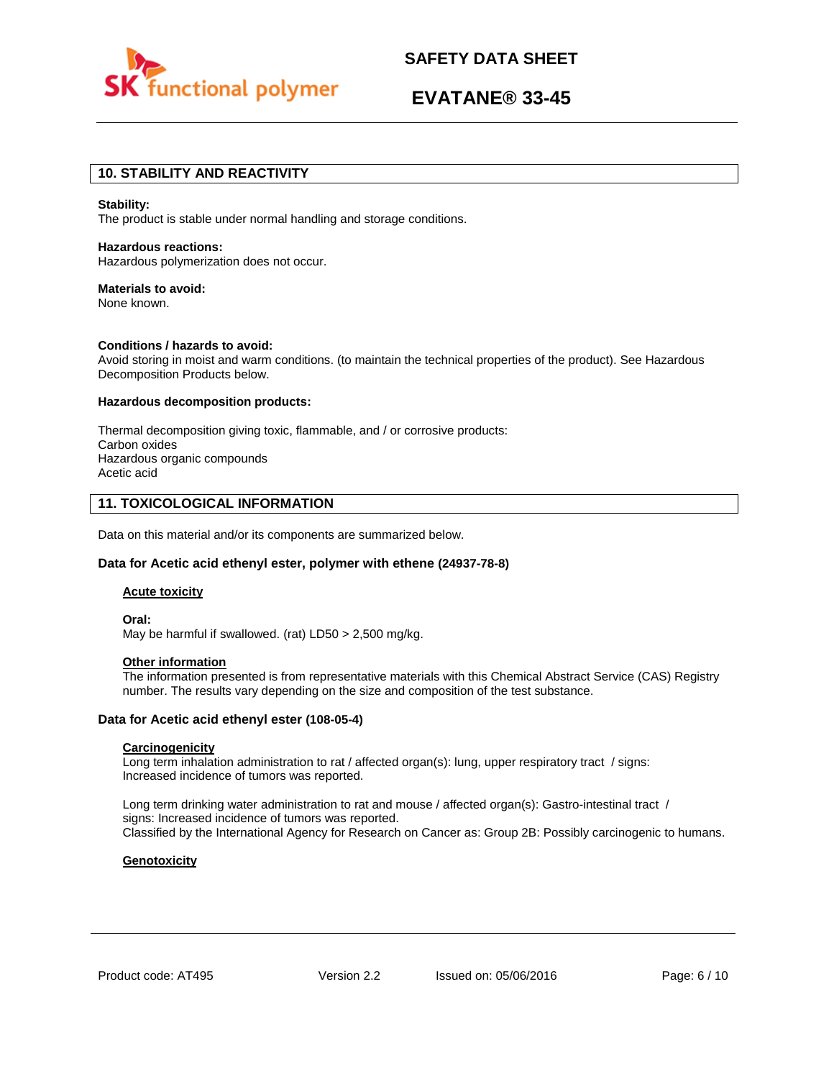

# **EVATANE® 33-45**

## **10. STABILITY AND REACTIVITY**

#### **Stability:**

The product is stable under normal handling and storage conditions.

# **Hazardous reactions:**

Hazardous polymerization does not occur.

### **Materials to avoid:**

None known.

### **Conditions / hazards to avoid:**

Avoid storing in moist and warm conditions. (to maintain the technical properties of the product). See Hazardous Decomposition Products below.

### **Hazardous decomposition products:**

Thermal decomposition giving toxic, flammable, and / or corrosive products: Carbon oxides Hazardous organic compounds Acetic acid

### **11. TOXICOLOGICAL INFORMATION**

Data on this material and/or its components are summarized below.

### **Data for Acetic acid ethenyl ester, polymer with ethene (24937-78-8)**

### **Acute toxicity**

**Oral:** May be harmful if swallowed. (rat) LD50 > 2,500 mg/kg.

#### **Other information**

The information presented is from representative materials with this Chemical Abstract Service (CAS) Registry number. The results vary depending on the size and composition of the test substance.

### **Data for Acetic acid ethenyl ester (108-05-4)**

### **Carcinogenicity**

Long term inhalation administration to rat / affected organ(s): lung, upper respiratory tract / signs: Increased incidence of tumors was reported.

Long term drinking water administration to rat and mouse / affected organ(s): Gastro-intestinal tract / signs: Increased incidence of tumors was reported. Classified by the International Agency for Research on Cancer as: Group 2B: Possibly carcinogenic to humans.

### **Genotoxicity**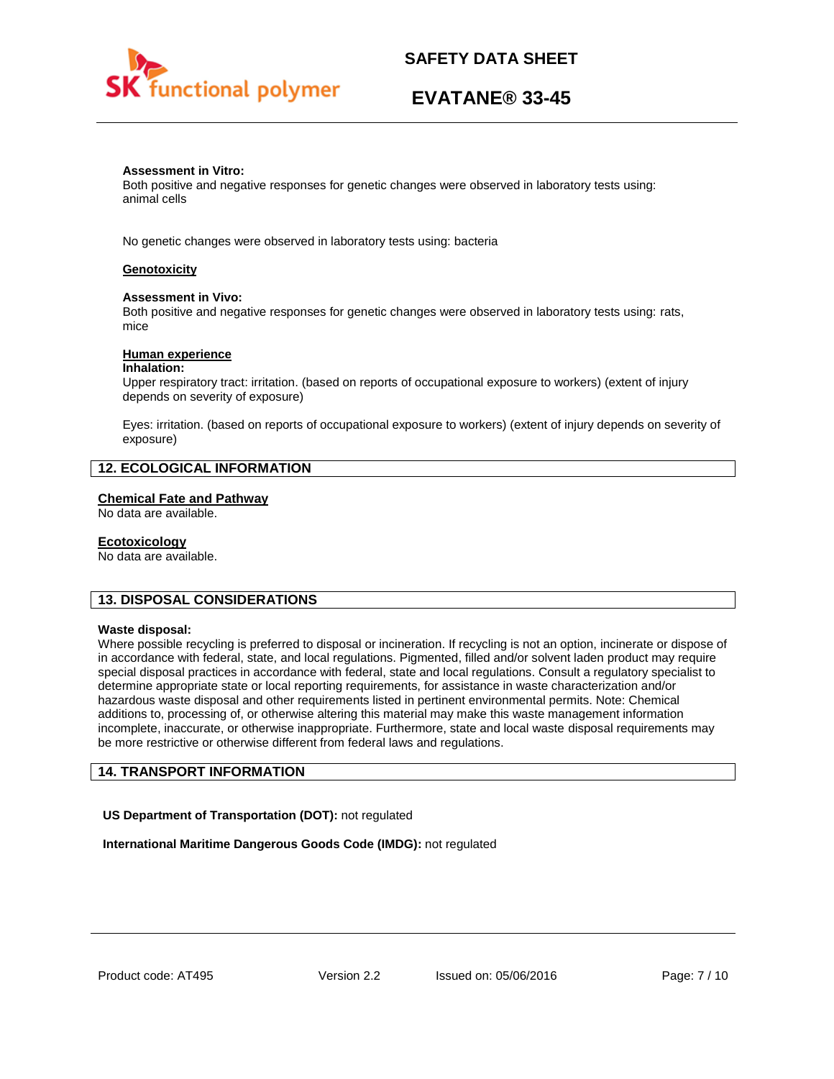

# **EVATANE® 33-45**

### **Assessment in Vitro:**

Both positive and negative responses for genetic changes were observed in laboratory tests using: animal cells

No genetic changes were observed in laboratory tests using: bacteria

### **Genotoxicity**

### **Assessment in Vivo:**

Both positive and negative responses for genetic changes were observed in laboratory tests using: rats, mice

### **Human experience**

### **Inhalation:**

Upper respiratory tract: irritation. (based on reports of occupational exposure to workers) (extent of injury depends on severity of exposure)

Eyes: irritation. (based on reports of occupational exposure to workers) (extent of injury depends on severity of exposure)

# **12. ECOLOGICAL INFORMATION**

### **Chemical Fate and Pathway**

No data are available.

### **Ecotoxicology**

No data are available.

# **13. DISPOSAL CONSIDERATIONS**

### **Waste disposal:**

Where possible recycling is preferred to disposal or incineration. If recycling is not an option, incinerate or dispose of in accordance with federal, state, and local regulations. Pigmented, filled and/or solvent laden product may require special disposal practices in accordance with federal, state and local regulations. Consult a regulatory specialist to determine appropriate state or local reporting requirements, for assistance in waste characterization and/or hazardous waste disposal and other requirements listed in pertinent environmental permits. Note: Chemical additions to, processing of, or otherwise altering this material may make this waste management information incomplete, inaccurate, or otherwise inappropriate. Furthermore, state and local waste disposal requirements may be more restrictive or otherwise different from federal laws and regulations.

# **14. TRANSPORT INFORMATION**

**US Department of Transportation (DOT):** not regulated

**International Maritime Dangerous Goods Code (IMDG):** not regulated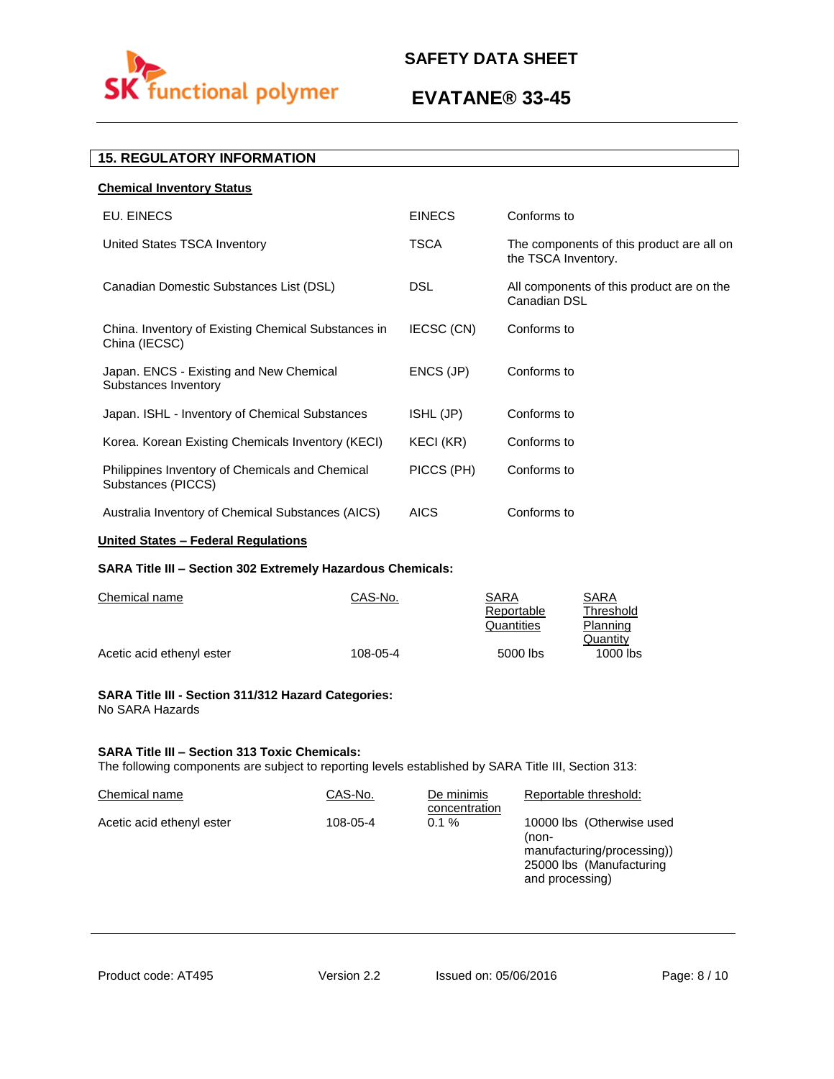

# **EVATANE® 33-45**

# **15. REGULATORY INFORMATION**

| <b>Chemical Inventory Status</b>                                      |               |                                                                  |
|-----------------------------------------------------------------------|---------------|------------------------------------------------------------------|
| EU. EINECS                                                            | <b>EINECS</b> | Conforms to                                                      |
| United States TSCA Inventory                                          | TSCA          | The components of this product are all on<br>the TSCA Inventory. |
| Canadian Domestic Substances List (DSL)                               | DSL.          | All components of this product are on the<br>Canadian DSL        |
| China. Inventory of Existing Chemical Substances in<br>China (IECSC)  | IECSC (CN)    | Conforms to                                                      |
| Japan. ENCS - Existing and New Chemical<br>Substances Inventory       | ENCS (JP)     | Conforms to                                                      |
| Japan. ISHL - Inventory of Chemical Substances                        | ISHL (JP)     | Conforms to                                                      |
| Korea. Korean Existing Chemicals Inventory (KECI)                     | KECI (KR)     | Conforms to                                                      |
| Philippines Inventory of Chemicals and Chemical<br>Substances (PICCS) | PICCS (PH)    | Conforms to                                                      |
| Australia Inventory of Chemical Substances (AICS)                     | <b>AICS</b>   | Conforms to                                                      |
|                                                                       |               |                                                                  |

# **United States – Federal Regulations**

### **SARA Title III – Section 302 Extremely Hazardous Chemicals:**

| Chemical name             | CAS-No.  | SARA       | SARA       |
|---------------------------|----------|------------|------------|
|                           |          | Reportable | Threshold  |
|                           |          | Quantities | Planning   |
|                           |          |            | Quantity   |
| Acetic acid ethenyl ester | 108-05-4 | 5000 lbs   | $1000$ lbs |

### **SARA Title III - Section 311/312 Hazard Categories:**  No SARA Hazards

### **SARA Title III – Section 313 Toxic Chemicals:**

The following components are subject to reporting levels established by SARA Title III, Section 313:

| Chemical name             | CAS-No.  | De minimis<br>concentration | Reportable threshold:                                                                                           |
|---------------------------|----------|-----------------------------|-----------------------------------------------------------------------------------------------------------------|
| Acetic acid ethenyl ester | 108-05-4 | $0.1 \%$                    | 10000 lbs (Otherwise used<br>(non-<br>manufacturing/processing))<br>25000 lbs (Manufacturing<br>and processing) |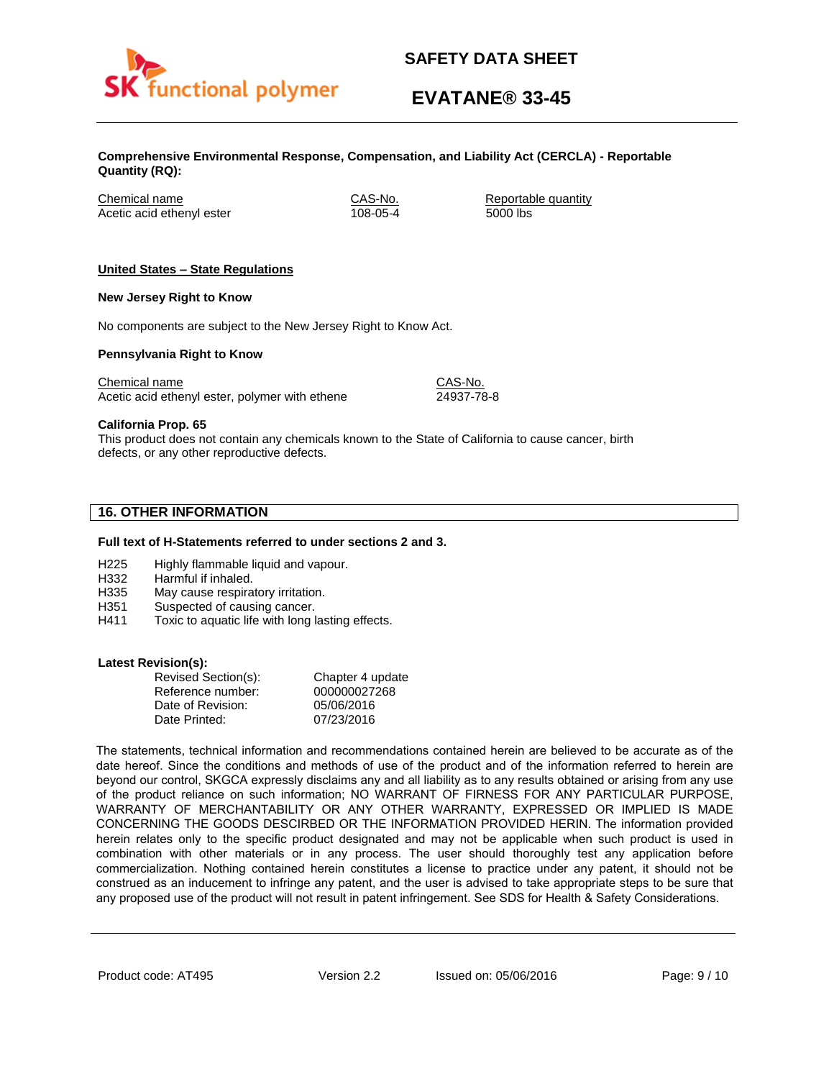

# **EVATANE® 33-45**

**Comprehensive Environmental Response, Compensation, and Liability Act (CERCLA) - Reportable Quantity (RQ):**

Chemical name CAS-No. Reportable quantity Acetic acid ethenyl ester 108-05-4 5000 lbs

# **United States – State Regulations**

### **New Jersey Right to Know**

No components are subject to the New Jersey Right to Know Act.

### **Pennsylvania Right to Know**

Chemical name Chemical name CAS-No. Acetic acid ethenyl ester, polymer with ethene 24937-78-8

**California Prop. 65**

This product does not contain any chemicals known to the State of California to cause cancer, birth defects, or any other reproductive defects.

# **16. OTHER INFORMATION**

### **Full text of H-Statements referred to under sections 2 and 3.**

- H225 Highly flammable liquid and vapour.
- H332 Harmful if inhaled.
- H335 May cause respiratory irritation.
- H351 Suspected of causing cancer.
- H411 Toxic to aquatic life with long lasting effects.

### **Latest Revision(s):**

| Revised Section(s): | Chapter 4 update |
|---------------------|------------------|
| Reference number:   | 000000027268     |
| Date of Revision:   | 05/06/2016       |
| Date Printed:       | 07/23/2016       |

The statements, technical information and recommendations contained herein are believed to be accurate as of the date hereof. Since the conditions and methods of use of the product and of the information referred to herein are beyond our control, SKGCA expressly disclaims any and all liability as to any results obtained or arising from any use of the product reliance on such information; NO WARRANT OF FIRNESS FOR ANY PARTICULAR PURPOSE, WARRANTY OF MERCHANTABILITY OR ANY OTHER WARRANTY, EXPRESSED OR IMPLIED IS MADE CONCERNING THE GOODS DESCIRBED OR THE INFORMATION PROVIDED HERIN. The information provided herein relates only to the specific product designated and may not be applicable when such product is used in combination with other materials or in any process. The user should thoroughly test any application before commercialization. Nothing contained herein constitutes a license to practice under any patent, it should not be construed as an inducement to infringe any patent, and the user is advised to take appropriate steps to be sure that any proposed use of the product will not result in patent infringement. See SDS for Health & Safety Considerations.